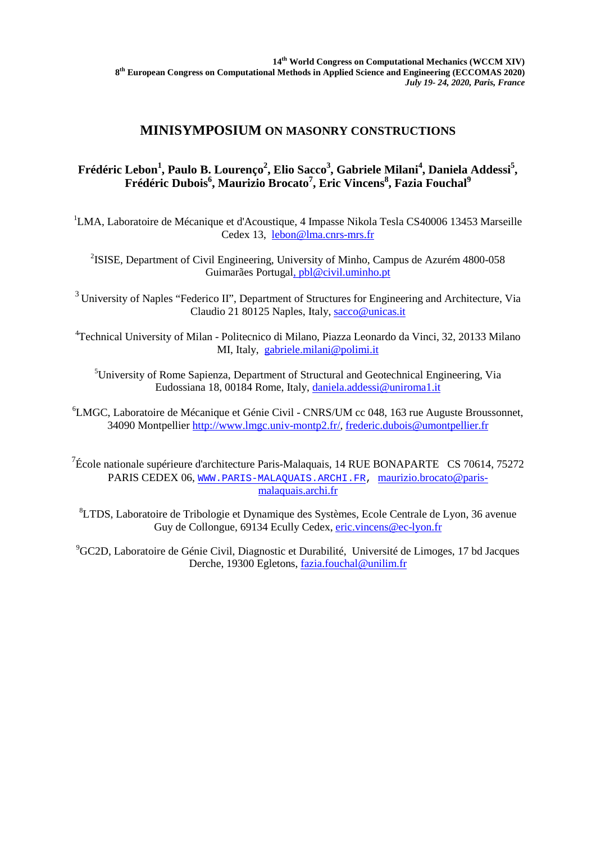## **MINISYMPOSIUM ON MASONRY CONSTRUCTIONS**

## Frédéric Lebon<sup>1</sup>, Paulo B. Lourenço<sup>2</sup>, Elio Sacco<sup>3</sup>, Gabriele Milani<sup>4</sup>, Daniela Addessi<sup>5</sup>, **Frédéric Dubois<sup>6</sup> , Maurizio Brocato<sup>7</sup> , Eric Vincens<sup>8</sup> , Fazia Fouchal<sup>9</sup>**

<sup>1</sup>LMA, Laboratoire de Mécanique et d'Acoustique, 4 Impasse Nikola Tesla CS40006 13453 Marseille Cedex 13, [lebon@lma.cnrs-mrs.fr](mailto:lebon@lma.cnrs-mrs.fr)

<sup>2</sup>ISISE, Department of Civil Engineering, [University of Minho,](https://www.researchgate.net/institution/University_of_Minho) Campus de Azurém 4800-058 Guimarães Portugal, [pbl@civil.uminho.pt](mailto:pbl@civil.uminho.pt)

<sup>3</sup> University of Naples "Federico II", Department of Structures for Engineering and Architecture, Via Claudio 21 80125 Naples, Italy, [sacco@unicas.it](mailto:sacco@unicas.it)

4 Technical University of Milan - Politecnico di Milano, Piazza Leonardo da Vinci, 32, 20133 Milano MI, Italy, [gabriele.milani@polimi.it](mailto:gabriele.milani@polimi.it)

<sup>5</sup>University of Rome Sapienza, Department of Structural and Geotechnical Engineering, Via Eudossiana 18, 00184 Rome, Italy, [daniela.addessi@uniroma1.it](mailto:daniela.addessi@uniroma1.it)

6 LMGC, Laboratoire de Mécanique et Génie Civil - CNRS/UM cc 048, 163 rue Auguste Broussonnet, 34090 Montpellier [http://www.lmgc.univ-montp2.fr/,](http://www.lmgc.univ-montp2.fr/) [frederic.dubois@umontpellier.fr](mailto:frederic.dubois@umontpellier.fr)

 $^{7}$ École nationale supérieure d'architecture Paris-Malaquais, 14 RUE BONAPARTE CS 70614, 75272 PARIS CEDEX 06, [WWW.PARIS-MALAQUAIS.ARCHI.FR,](http://www.paris-malaquais.archi.fr/) [maurizio.brocato@paris](mailto:maurizio.brocato@paris-malaquais.archi.fr)[malaquais.archi.fr](mailto:maurizio.brocato@paris-malaquais.archi.fr)

<sup>8</sup>LTDS, Laboratoire de Tribologie et Dynamique des Systèmes, Ecole Centrale de Lyon, 36 avenue Guy de Collongue, 69134 Ecully Cedex, [eric.vincens@ec-lyon.fr](mailto:eric.vincens@ec-lyon.fr)

9 GC2D, Laboratoire de Génie Civil, Diagnostic et Durabilité, Université de Limoges, 17 bd Jacques Derche, 19300 Egletons, [fazia.fouchal@unilim.fr](mailto:fazia.fouchal@unilim.fr)